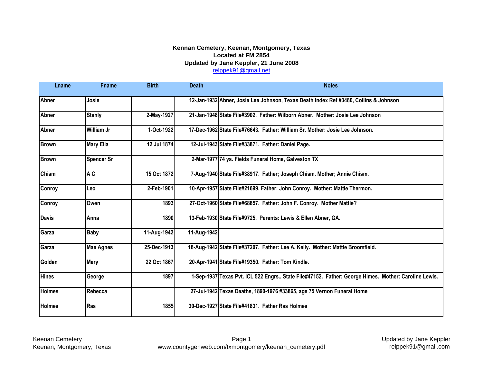## **Kennan Cemetery, Keenan, Montgomery, Texas Located at FM 2854 Updated by Jane Keppler, 21 June 2008** relppek91@gmail.net

| Lname         | <b>F</b> name     | <b>Birth</b> | <b>Death</b> | <b>Notes</b>                                                                                        |
|---------------|-------------------|--------------|--------------|-----------------------------------------------------------------------------------------------------|
| <b>Abner</b>  | Josie             |              |              | 12-Jan-1932 Abner, Josie Lee Johnson, Texas Death Index Ref #3480, Collins & Johnson                |
| <b>Abner</b>  | <b>Stanly</b>     | 2-May-1927   |              | 21-Jan-1948 State File#3902. Father: Wilborn Abner. Mother: Josie Lee Johnson                       |
| <b>Abner</b>  | <b>William Jr</b> | 1-Oct-1922   |              | 17-Dec-1962 State File#76643. Father: William Sr. Mother: Josie Lee Johnson.                        |
| <b>Brown</b>  | <b>Mary Ella</b>  | 12 Jul 1874  |              | 12-Jul-1943 State File#33871. Father: Daniel Page.                                                  |
| <b>Brown</b>  | <b>Spencer Sr</b> |              |              | 2-Mar-1977 74 ys. Fields Funeral Home, Galveston TX                                                 |
| <b>Chism</b>  | A C               | 15 Oct 1872  |              | 7-Aug-1940 State File#38917. Father; Joseph Chism. Mother; Annie Chism.                             |
| Conroy        | Leo               | 2-Feb-1901   |              | 10-Apr-1957 State File#21699. Father: John Conroy. Mother: Mattie Thermon.                          |
| Conroy        | Owen              | 1893         |              | 27-Oct-1960 State File#68857. Father: John F. Conroy. Mother Mattie?                                |
| <b>Davis</b>  | Anna              | 1890         |              | 13-Feb-1930 State File#9725. Parents: Lewis & Ellen Abner, GA.                                      |
| Garza         | <b>Baby</b>       | 11-Aug-1942  | 11-Aug-1942  |                                                                                                     |
| Garza         | <b>Mae Agnes</b>  | 25-Dec-1913  |              | 18-Aug-1942 State File#37207. Father: Lee A. Kelly. Mother: Mattie Broomfield.                      |
| <b>Golden</b> | <b>Mary</b>       | 22 Oct 1867  |              | 20-Apr-1941 State File#19350. Father: Tom Kindle.                                                   |
| <b>Hines</b>  | George            | 1897         |              | 1-Sep-1937 Texas Pvt. ICL 522 Engrs State File#47152. Father: George Himes. Mother: Caroline Lewis. |
| <b>Holmes</b> | Rebecca           |              |              | 27-Jul-1942 Texas Deaths, 1890-1976 #33865, age 75 Vernon Funeral Home                              |
| <b>Holmes</b> | Ras               | 1855         |              | 30-Dec-1927 State File#41831. Father Ras Holmes                                                     |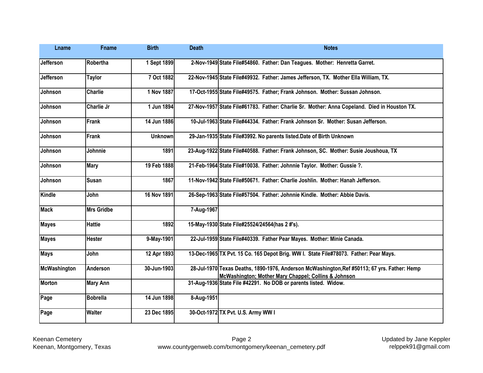| Lname            | <b>Fname</b>      | <b>Birth</b>   | <b>Death</b> | <b>Notes</b>                                                                                                                                         |
|------------------|-------------------|----------------|--------------|------------------------------------------------------------------------------------------------------------------------------------------------------|
| <b>Jefferson</b> | <b>Robertha</b>   | 1 Sept 1899    |              | 2-Nov-1949 State File#54860. Father: Dan Teagues. Mother: Henretta Garret.                                                                           |
| <b>Jefferson</b> | <b>Taylor</b>     | 7 Oct 1882     |              | 22-Nov-1945 State File#49932. Father: James Jefferson, TX. Mother Ella William, TX.                                                                  |
| Johnson          | <b>Charlie</b>    | 1 Nov 1887     |              | 17-Oct-1955 State File#49575. Father; Frank Johnson. Mother: Sussan Johnson.                                                                         |
| Johnson          | Charlie Jr        | 1 Jun 1894     |              | 27-Nov-1957 State File#61783. Father: Charlie Sr. Mother: Anna Copeland. Died in Houston TX.                                                         |
| Johnson          | <b>Frank</b>      | 14 Jun 1886    |              | 10-Jul-1963 State File#44334. Father: Frank Johnson Sr. Mother: Susan Jefferson.                                                                     |
| Johnson          | <b>Frank</b>      | <b>Unknown</b> |              | 29-Jan-1935 State File#3992. No parents listed. Date of Birth Unknown                                                                                |
| Johnson          | Johnnie           | 1891           |              | 23-Aug-1922 State File#40588. Father: Frank Johnson, SC. Mother: Susie Joushoua, TX                                                                  |
| Johnson          | <b>Mary</b>       | 19 Feb 1888    |              | 21-Feb-1964 State File#10038. Father: Johnnie Taylor. Mother: Gussie ?.                                                                              |
| Johnson          | <b>Susan</b>      | 1867           |              | 11-Nov-1942 State File#50671. Father: Charlie Joshlin. Mother: Hanah Jefferson.                                                                      |
| <b>Kindle</b>    | John              | 16 Nov 1891    |              | 26-Sep-1963 State File#57504. Father: Johnnie Kindle. Mother: Abbie Davis.                                                                           |
| <b>Mack</b>      | <b>Mrs Gridbe</b> |                | 7-Aug-1967   |                                                                                                                                                      |
| <b>Mayes</b>     | <b>Hattie</b>     | 1892           |              | 15-May-1930 State File#25524/24564(has 2 #'s).                                                                                                       |
| <b>Mayes</b>     | <b>Hester</b>     | 9-May-1901     |              | 22-Jul-1959 State File#40339. Father Pear Mayes. Mother: Minie Canada.                                                                               |
| <b>Mays</b>      | John              | 12 Apr 1893    |              | 13-Dec-1965 TX Pvt. 15 Co. 165 Depot Brig. WW I. State File#78073. Father: Pear Mays.                                                                |
| McWashington     | <b>Anderson</b>   | 30-Jun-1903    |              | 28-Jul-1970 Texas Deaths, 1890-1976, Anderson McWashington, Ref #50113; 67 yrs. Father: Hemp<br>McWashington; Mother Mary Chappel; Collins & Johnson |
| <b>Morton</b>    | <b>Mary Ann</b>   |                |              | 31-Aug-1936 State File #42291. No DOB or parents listed. Widow.                                                                                      |
| Page             | <b>Bobrella</b>   | 14 Jun 1898    | 8-Aug-1951   |                                                                                                                                                      |
| Page             | <b>Walter</b>     | 23 Dec 1895    |              | 30-Oct-1972 TX Pvt. U.S. Army WW I                                                                                                                   |